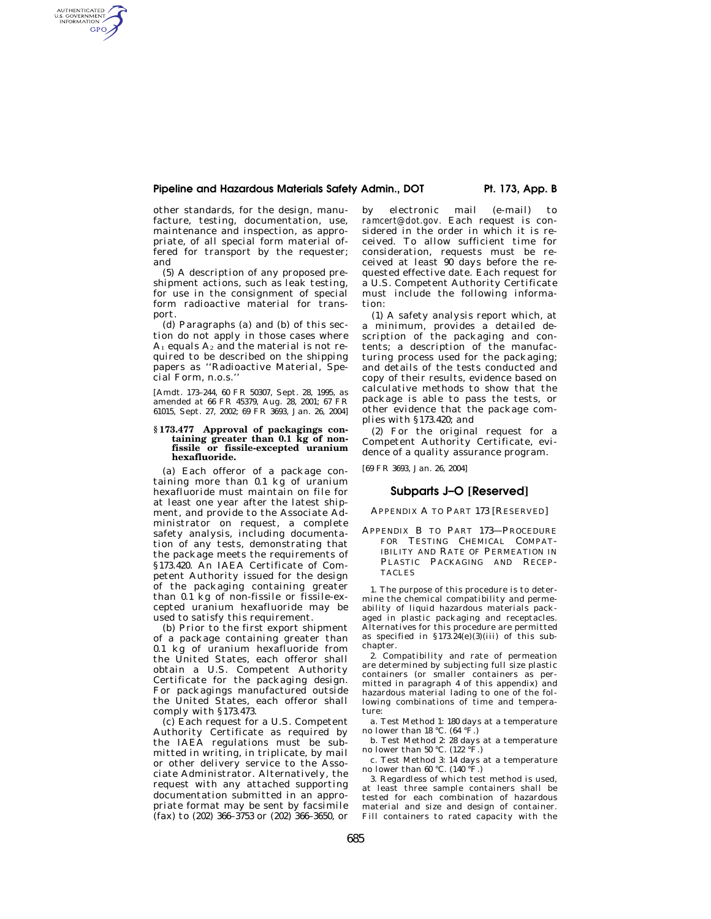## **Pipeline and Hazardous Materials Safety Admin., DOT Pt. 173, App. B**

other standards, for the design, manufacture, testing, documentation, use, maintenance and inspection, as appropriate, of all special form material offered for transport by the requester; and

AUTHENTICATED<br>U.S. GOVERNMENT<br>INFORMATION **GPO** 

> (5) A description of any proposed preshipment actions, such as leak testing, for use in the consignment of special form radioactive material for transport.

> (d) Paragraphs (a) and (b) of this section do not apply in those cases where  $A_1$  equals  $A_2$  and the material is not required to be described on the shipping papers as ''Radioactive Material, Special Form, n.o.s.''

> [Amdt. 173–244, 60 FR 50307, Sept. 28, 1995, as amended at 66 FR 45379, Aug. 28, 2001; 67 FR 61015, Sept. 27, 2002; 69 FR 3693, Jan. 26, 2004]

## **§ 173.477 Approval of packagings containing greater than 0.1 kg of nonfissile or fissile-excepted uranium hexafluoride.**

(a) Each offeror of a package containing more than  $0.1$  kg of uranium hexafluoride must maintain on file for at least one year after the latest shipment, and provide to the Associate Administrator on request, a complete safety analysis, including documentation of any tests, demonstrating that the package meets the requirements of §173.420. An IAEA Certificate of Competent Authority issued for the design of the packaging containing greater than 0.1 kg of non-fissile or fissile-excepted uranium hexafluoride may be used to satisfy this requirement.

(b) Prior to the first export shipment of a package containing greater than 0.1 kg of uranium hexafluoride from the United States, each offeror shall obtain a U.S. Competent Authority Certificate for the packaging design. For packagings manufactured outside the United States, each offeror shall comply with §173.473.

(c) Each request for a U.S. Competent Authority Certificate as required by the IAEA regulations must be submitted in writing, in triplicate, by mail or other delivery service to the Associate Administrator. Alternatively, the request with any attached supporting documentation submitted in an appropriate format may be sent by facsimile (fax) to (202) 366–3753 or (202) 366–3650, or

by electronic mail (e-mail) to *ramcert@dot.gov.* Each request is considered in the order in which it is received. To allow sufficient time for consideration, requests must be received at least 90 days before the requested effective date. Each request for a U.S. Competent Authority Certificate must include the following information:

(1) A safety analysis report which, at a minimum, provides a detailed description of the packaging and contents; a description of the manufacturing process used for the packaging; and details of the tests conducted and copy of their results, evidence based on calculative methods to show that the package is able to pass the tests, or other evidence that the package complies with §173.420; and

(2) For the original request for a Competent Authority Certificate, evidence of a quality assurance program.

[69 FR 3693, Jan. 26, 2004]

# **Subparts J–O [Reserved]**

## APPENDIX A TO PART 173 [RESERVED]

APPENDIX B TO PART 173—PROCEDURE FOR TESTING CHEMICAL COMPAT-IBILITY AND RATE OF PERMEATION IN PLASTIC PACKAGING AND RECEP-TACLES

1. The purpose of this procedure is to determine the chemical compatibility and permeability of liquid hazardous materials packaged in plastic packaging and receptacles. Alternatives for this procedure are permitted as specified in  $$173.24(e)(3)(iii)$  of this subchapter.

2. Compatibility and rate of permeation are determined by subjecting full size plastic containers (or smaller containers as permitted in paragraph 4 of this appendix) and hazardous material lading to one of the following combinations of time and temperature:

a. Test Method 1: 180 days at a temperature no lower than 18 °C. (64 °F.)

b. Test Method 2: 28 days at a temperature no lower than 50 °C. (122 °F.)

c. Test Method 3: 14 days at a temperature no lower than 60 °C. (140 °F.)

3. Regardless of which test method is used, at least three sample containers shall be tested for each combination of hazardous material and size and design of container. Fill containers to rated capacity with the